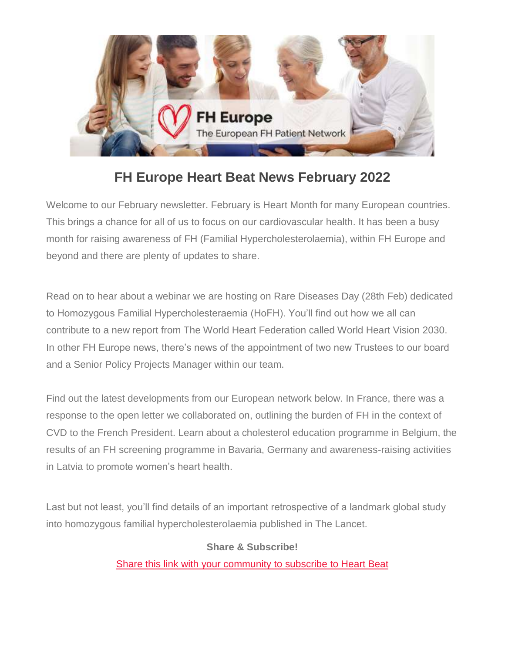

# **FH Europe Heart Beat News February 2022**

Welcome to our February newsletter. February is Heart Month for many European countries. This brings a chance for all of us to focus on our cardiovascular health. It has been a busy month for raising awareness of FH (Familial Hypercholesterolaemia), within FH Europe and beyond and there are plenty of updates to share.

Read on to hear about a webinar we are hosting on Rare Diseases Day (28th Feb) dedicated to Homozygous Familial Hypercholesteraemia (HoFH). You'll find out how we all can contribute to a new report from The World Heart Federation called World Heart Vision 2030. In other FH Europe news, there's news of the appointment of two new Trustees to our board and a Senior Policy Projects Manager within our team.

Find out the latest developments from our European network below. In France, there was a response to the open letter we collaborated on, outlining the burden of FH in the context of CVD to the French President. Learn about a cholesterol education programme in Belgium, the results of an FH screening programme in Bavaria, Germany and awareness-raising activities in Latvia to promote women's heart health.

Last but not least, you'll find details of an important retrospective of a landmark global study into homozygous familial hypercholesterolaemia published in The Lancet.

#### **Share & Subscribe!**

[Share this link](https://fheurope.us2.list-manage.com/track/click?u=60930fdc325cffc47c2fb04ad&id=b48f81ddf2&e=981ab6495d) [with your community](https://fheurope.us2.list-manage.com/track/click?u=60930fdc325cffc47c2fb04ad&id=25eeae2d51&e=981ab6495d) [to subscribe](https://fheurope.us2.list-manage.com/track/click?u=60930fdc325cffc47c2fb04ad&id=fa28ba5980&e=981ab6495d) [to Heart Beat](https://fheurope.us2.list-manage.com/track/click?u=60930fdc325cffc47c2fb04ad&id=1a18010d68&e=981ab6495d)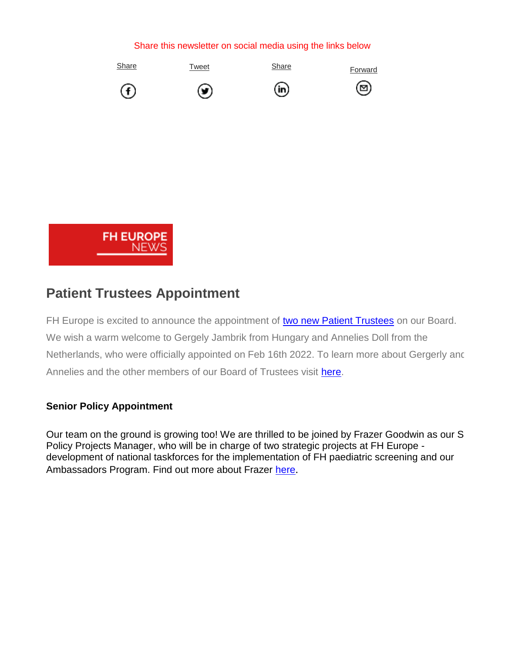#### Share this newsletter on social media using the links below





(in)





(⊠)



## **Patient Trustees Appointment**

FH Europe is excited to announce the appointment of [two new Patient Trustees](https://fheurope.us2.list-manage.com/track/click?u=60930fdc325cffc47c2fb04ad&id=3094b0bb97&e=981ab6495d) on our Board. We wish a warm welcome to Gergely Jambrik from Hungary and Annelies Doll from the Netherlands, who were officially appointed on Feb 16th 2022. To learn more about Gergerly and Annelies and the other members of our Board of Trustees visit [here.](https://fheurope.us2.list-manage.com/track/click?u=60930fdc325cffc47c2fb04ad&id=abb3e4e203&e=981ab6495d)

#### **Senior Policy Appointment**

Our team on the ground is growing too! We are thrilled to be joined by Frazer Goodwin as our S Policy Projects Manager, who will be in charge of two strategic projects at FH Europe development of national taskforces for the implementation of FH paediatric screening and our Ambassadors Program. Find out more about Frazer [here](https://fheurope.us2.list-manage.com/track/click?u=60930fdc325cffc47c2fb04ad&id=d3834497c0&e=981ab6495d).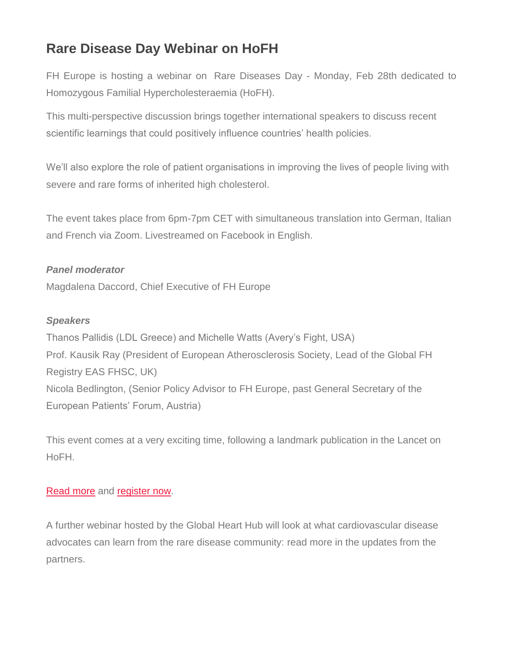## **Rare Disease Day Webinar on HoFH**

FH Europe is hosting a webinar on Rare Diseases Day - Monday, Feb 28th dedicated to Homozygous Familial Hypercholesteraemia (HoFH).

This multi-perspective discussion brings together international speakers to discuss recent scientific learnings that could positively influence countries' health policies.

We'll also explore the role of patient organisations in improving the lives of people living with severe and rare forms of inherited high cholesterol.

The event takes place from 6pm-7pm CET with simultaneous translation into German, Italian and French via Zoom. Livestreamed on Facebook in English.

#### *Panel moderator*

Magdalena Daccord, Chief Executive of FH Europe

#### *Speakers*

Thanos Pallidis (LDL Greece) and Michelle Watts (Avery's Fight, USA) Prof. Kausik Ray (President of European Atherosclerosis Society, Lead of the Global FH Registry EAS FHSC, UK) Nicola Bedlington, (Senior Policy Advisor to FH Europe, past General Secretary of the European Patients' Forum, Austria)

This event comes at a very exciting time, following a landmark publication in the Lancet on HoFH.

#### [Read more](https://fheurope.us2.list-manage.com/track/click?u=60930fdc325cffc47c2fb04ad&id=fc54e5c9e6&e=981ab6495d) and [register now.](https://fheurope.us2.list-manage.com/track/click?u=60930fdc325cffc47c2fb04ad&id=1b20cc3f60&e=981ab6495d)

A further webinar hosted by the Global Heart Hub will look at what cardiovascular disease advocates can learn from the rare disease community: read more in the updates from the partners.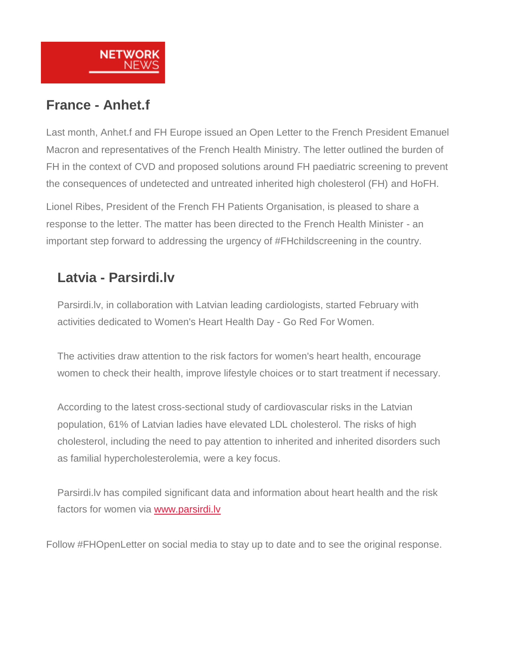

## **France - Anhet.f**

Last month, Anhet.f and FH Europe issued an Open Letter to the French President Emanuel Macron and representatives of the French Health Ministry. The letter outlined the burden of FH in the context of CVD and proposed solutions around FH paediatric screening to prevent the consequences of undetected and untreated inherited high cholesterol (FH) and HoFH.

Lionel Ribes, President of the French FH Patients Organisation, is pleased to share a response to the letter. The matter has been directed to the French Health Minister - an important step forward to addressing the urgency of #FHchildscreening in the country.

## **Latvia - Parsirdi.lv**

Parsirdi.lv, in collaboration with Latvian leading cardiologists, started February with activities dedicated to Women's Heart Health Day - Go Red For Women.

The activities draw attention to the risk factors for women's heart health, encourage women to check their health, improve lifestyle choices or to start treatment if necessary.

According to the latest cross-sectional study of cardiovascular risks in the Latvian population, 61% of Latvian ladies have elevated LDL cholesterol. The risks of high cholesterol, including the need to pay attention to inherited and inherited disorders such as familial hypercholesterolemia, were a key focus.

Parsirdi.lv has compiled significant data and information about heart health and the risk factors for women via [www.parsirdi.lv](https://fheurope.us2.list-manage.com/track/click?u=60930fdc325cffc47c2fb04ad&id=af0488ae3c&e=981ab6495d)

Follow #FHOpenLetter on social media to stay up to date and to see the original response.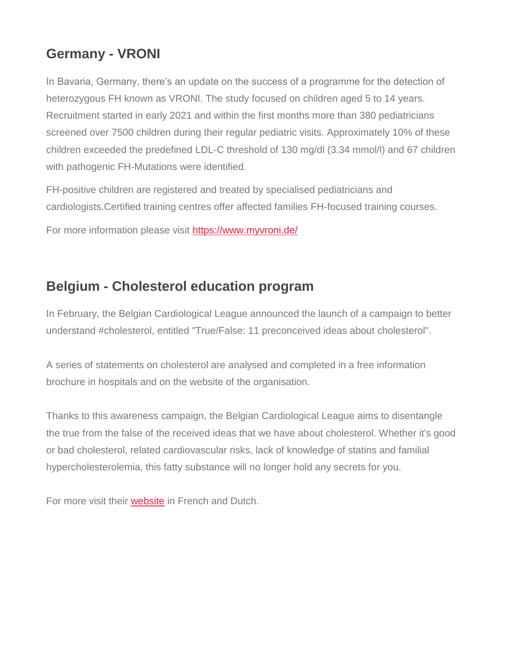## **Germany - VRONI**

In Bavaria, Germany, there's an update on the success of a programme for the detection of heterozygous FH known as VRONI. The study focused on children aged 5 to 14 years. Recruitment started in early 2021 and within the first months more than 380 pediatricians screened over 7500 children during their regular pediatric visits. Approximately 10% of these children exceeded the predefined LDL-C threshold of 130 mg/dl (3.34 mmol/l) and 67 children with pathogenic FH-Mutations were identified.

FH-positive children are registered and treated by specialised pediatricians and cardiologists.Certified training centres offer affected families FH-focused training courses.

For more information please visit [https://www.myvroni.de/](https://fheurope.us2.list-manage.com/track/click?u=60930fdc325cffc47c2fb04ad&id=0b6a44ca6a&e=981ab6495d)

#### **Belgium - Cholesterol education program**

In February, the Belgian Cardiological League announced the launch of a campaign to better understand #cholesterol, entitled "True/False: 11 preconceived ideas about cholesterol".

A series of statements on cholesterol are analysed and completed in a free information brochure in hospitals and on the website of the organisation.

Thanks to this awareness campaign, the Belgian Cardiological League aims to disentangle the true from the false of the received ideas that we have about cholesterol. Whether it's good or bad cholesterol, related cardiovascular risks, lack of knowledge of statins and familial hypercholesterolemia, this fatty substance will no longer hold any secrets for you.

For more visit their [website](https://fheurope.us2.list-manage.com/track/click?u=60930fdc325cffc47c2fb04ad&id=08f834ce5b&e=981ab6495d) in French and Dutch.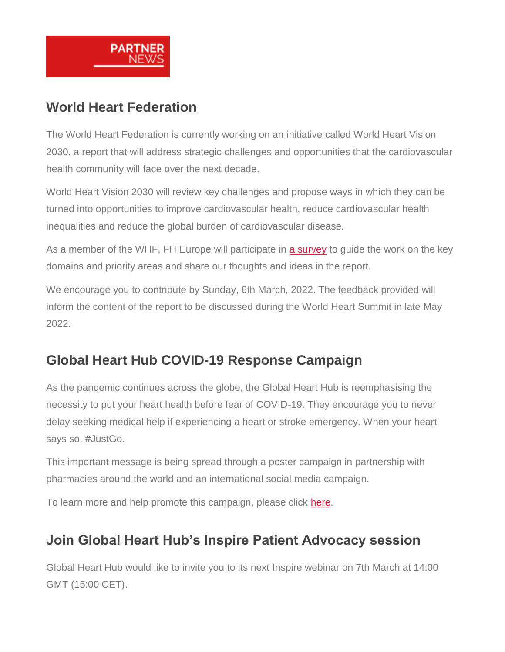

## **World Heart Federation**

The World Heart Federation is currently working on an initiative called World Heart Vision 2030, a report that will address strategic challenges and opportunities that the cardiovascular health community will face over the next decade.

World Heart Vision 2030 will review key challenges and propose ways in which they can be turned into opportunities to improve cardiovascular health, reduce cardiovascular health inequalities and reduce the global burden of cardiovascular disease.

As a member of the WHF, FH Europe will participate in [a survey](https://fheurope.us2.list-manage.com/track/click?u=60930fdc325cffc47c2fb04ad&id=347b595fb8&e=981ab6495d) to guide the work on the key domains and priority areas and share our thoughts and ideas in the report.

We encourage you to contribute by Sunday, 6th March, 2022. The feedback provided will inform the content of the report to be discussed during the World Heart Summit in late May 2022.

# **Global Heart Hub COVID-19 Response Campaign**

As the pandemic continues across the globe, the Global Heart Hub is reemphasising the necessity to put your heart health before fear of COVID-19. They encourage you to never delay seeking medical help if experiencing a heart or stroke emergency. When your heart says so, #JustGo.

This important message is being spread through a poster campaign in partnership with pharmacies around the world and an international social media campaign.

To learn more and help promote this campaign, please click [here.](https://fheurope.us2.list-manage.com/track/click?u=60930fdc325cffc47c2fb04ad&id=361544f218&e=981ab6495d)

## **Join Global Heart Hub's Inspire Patient Advocacy session**

Global Heart Hub would like to invite you to its next Inspire webinar on 7th March at 14:00 GMT (15:00 CET).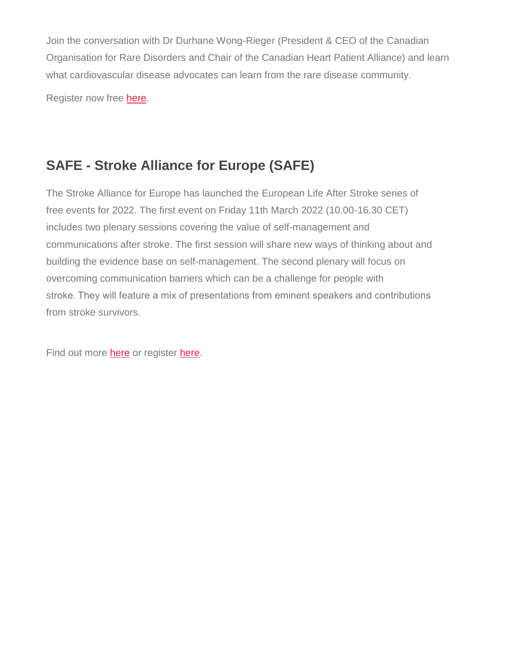Join the conversation with Dr Durhane Wong-Rieger (President & CEO of the Canadian Organisation for Rare Disorders and Chair of the Canadian Heart Patient Alliance) and learn what cardiovascular disease advocates can learn from the rare disease community.

Register now free [here.](https://fheurope.us2.list-manage.com/track/click?u=60930fdc325cffc47c2fb04ad&id=f96f1cf67a&e=981ab6495d)

# **SAFE - Stroke Alliance for Europe (SAFE)**

The Stroke Alliance for Europe has launched the European Life After Stroke series of free events for 2022. The first event on Friday 11th March 2022 (10.00-16.30 CET) includes two plenary sessions covering the value of self-management and communications after stroke. The first session will share new ways of thinking about and building the evidence base on self-management. The second plenary will focus on overcoming communication barriers which can be a challenge for people with stroke. They will feature a mix of presentations from eminent speakers and contributions from stroke survivors.

Find out more [here](https://fheurope.us2.list-manage.com/track/click?u=60930fdc325cffc47c2fb04ad&id=1a9ca1933c&e=981ab6495d) or register [here.](https://fheurope.us2.list-manage.com/track/click?u=60930fdc325cffc47c2fb04ad&id=b12cadd171&e=981ab6495d)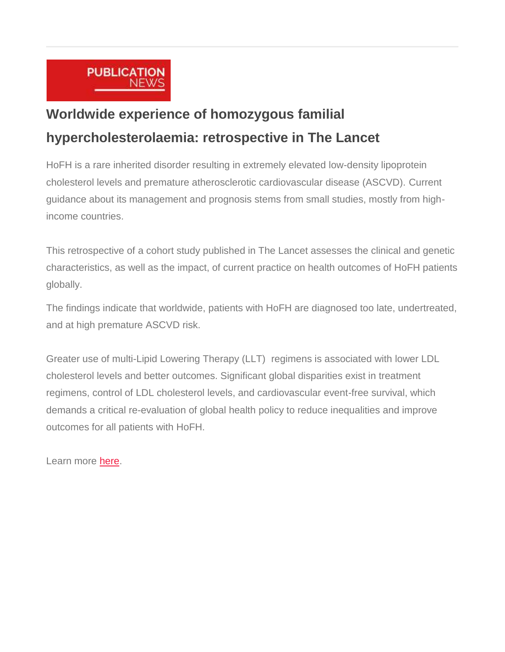

# **Worldwide experience of homozygous familial hypercholesterolaemia: retrospective in The Lancet**

HoFH is a rare inherited disorder resulting in extremely elevated low-density lipoprotein cholesterol levels and premature atherosclerotic cardiovascular disease (ASCVD). Current guidance about its management and prognosis stems from small studies, mostly from highincome countries.

This retrospective of a cohort study published in The Lancet assesses the clinical and genetic characteristics, as well as the impact, of current practice on health outcomes of HoFH patients globally.

The findings indicate that worldwide, patients with HoFH are diagnosed too late, undertreated, and at high premature ASCVD risk.

Greater use of multi-Lipid Lowering Therapy (LLT) regimens is associated with lower LDL cholesterol levels and better outcomes. Significant global disparities exist in treatment regimens, control of LDL cholesterol levels, and cardiovascular event-free survival, which demands a critical re-evaluation of global health policy to reduce inequalities and improve outcomes for all patients with HoFH.

Learn more [here.](https://fheurope.us2.list-manage.com/track/click?u=60930fdc325cffc47c2fb04ad&id=e00da33d23&e=981ab6495d)